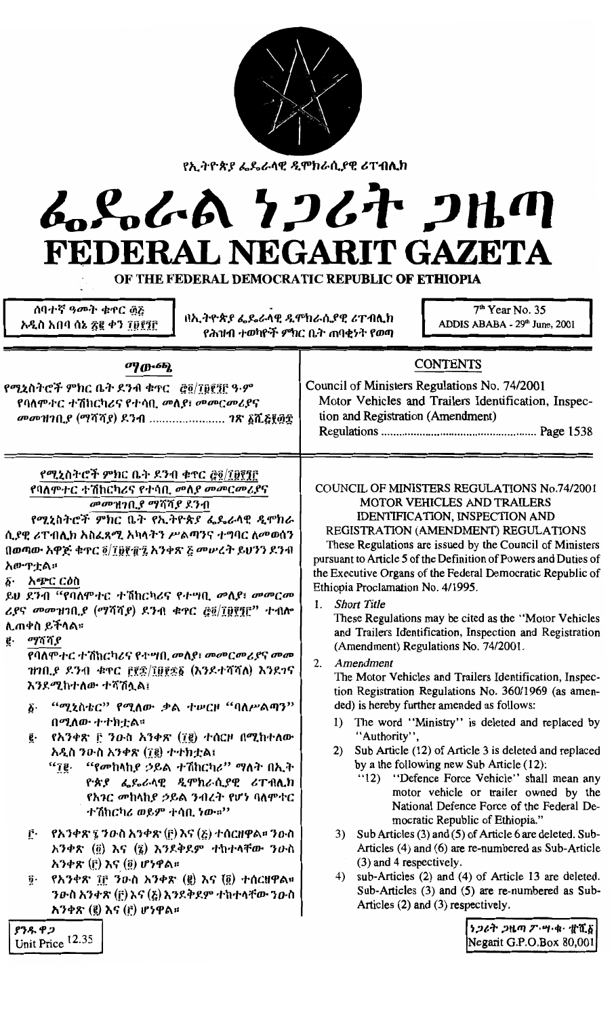| የኢትዮጵያ ፌዴራላዊ ዲሞክራሲያዊ ሪፐብሊክ<br>んとんよ クンムヤ 2HM<br>FEDERAL NEGARIT GAZETA<br>OF THE FEDERAL DEMOCRATIC REPUBLIC OF ETHIOPIA<br>ሰባተኛ ዓመት ቁዋር ፴፩<br>በኢትዮጵያ ፌዴራላዊ ዲሞክራሲያዊ ሪፐብሊክ                                                                                                                                                                                                                                                                                                                                                                                                                                                                                                                                                                                                                                                                                                                      | $7th$ Year No. 35<br>ADDIS ABABA - 29th June, 2001                                                                                                                                                                                                                                                                                                                                                                                                                                                                                                                                                                                                                                                                                                                                                                                                                                                                                                                                                                                                                                                                                                                                                                                                                           |
|-----------------------------------------------------------------------------------------------------------------------------------------------------------------------------------------------------------------------------------------------------------------------------------------------------------------------------------------------------------------------------------------------------------------------------------------------------------------------------------------------------------------------------------------------------------------------------------------------------------------------------------------------------------------------------------------------------------------------------------------------------------------------------------------------------------------------------------------------------------------------------------------------|------------------------------------------------------------------------------------------------------------------------------------------------------------------------------------------------------------------------------------------------------------------------------------------------------------------------------------------------------------------------------------------------------------------------------------------------------------------------------------------------------------------------------------------------------------------------------------------------------------------------------------------------------------------------------------------------------------------------------------------------------------------------------------------------------------------------------------------------------------------------------------------------------------------------------------------------------------------------------------------------------------------------------------------------------------------------------------------------------------------------------------------------------------------------------------------------------------------------------------------------------------------------------|
| አዲስ አበባ ሰኔ ፳፪ ቀን ፲፱፻፺፫<br>የሕዝብ ተወካዮች ምክር ቤት ጠባቂነት የወጣ                                                                                                                                                                                                                                                                                                                                                                                                                                                                                                                                                                                                                                                                                                                                                                                                                                         |                                                                                                                                                                                                                                                                                                                                                                                                                                                                                                                                                                                                                                                                                                                                                                                                                                                                                                                                                                                                                                                                                                                                                                                                                                                                              |
| ማውጫ<br>የሚኒስትሮች ምክር ቤት ደንብ ቁተር _ @@/፲፱፻፺፫ ዓ·ም<br>የባለምተር ተሽከርካሪና የተሳቢ መለያ፣ መመርመሪያና<br>መመዝገቢያ (ማሻሻያ) ደንብ  ገጽ ፩ሺ፩፻፴፰                                                                                                                                                                                                                                                                                                                                                                                                                                                                                                                                                                                                                                                                                                                                                                              | <b>CONTENTS</b><br>Council of Ministers Regulations No. 74/2001<br>Motor Vehicles and Trailers Identification, Inspec-<br>tion and Registration (Amendment)                                                                                                                                                                                                                                                                                                                                                                                                                                                                                                                                                                                                                                                                                                                                                                                                                                                                                                                                                                                                                                                                                                                  |
| የሚኒስትሮች ምክር ቤት ደንብ ቁዋር ፸፬/፲፱፻፺፫<br>የባለምተር ተሽከርካሪና የተሳቢ መለ <i>ያ መመርመሪያ</i> ና<br><i>መመዝገቢያ ማሻሻያ ደንብ</i><br>የሚኒስትሮች ምክር ቤት የኢትዮጵያ ፌዴራላዊ ዲሞክራ<br>ሲያዊ ሪፐብሊክ አስፈጻሚ አካላትን ሥልጣንና ተግባር ለመወሰን<br>በወጣው አዋጅ ቁጥር ፬/፲፱፻፹፯ አንቀጽ ፩ መሥረት ይህንን ደንብ<br>አውዋቷል።<br>፩· አጭር ርዕስ<br>ይህ ደንብ "የባለሞተር ተሽከርካሪና የተሣቢ መለያ፣ መመርመ<br>ሪያና መመዝገቢያ (ማሻሻያ) ደንብ ቁጥር ፸፬/፲፱፻፺፫'' ተብሎ<br>ሊጠቀስ ይችላል፡፡<br>ማሻሻያ<br>ą.<br>የባለሞተር ተሽከርካሪና የተሣበ, መለያ፣ መመርመሪያና መመ<br>ዝገቢያ ደንብ ቁጥር ፫፻፷/፲፱፻፷፩ (እንደተሻሻለ) እንደገና<br>እንደሚከተለው ተሻሽሏል፤<br>"ሚኒስቴር" የሚለው ቃል ተሥርዞ "ባለሥልጣን"<br>į٠<br>በሚለው ተተክቷል።<br>የአንቀጽ ፫ ንዑስ አንቀጽ (፲፪) ተሰርዞ በሚከተለው<br>ĝ.<br>አዲስ ንውስ አንቀጽ (፲፪) ተተክቷል፤<br><i>"የመ</i> ከላከ <i>ያ ኃ</i> ይል ተሽከርካሪ" ማለት በኢት<br>arg.<br>ዮጵያ ፌ <sup>ይ</sup> ራላዊ ዲሞክራሲያዊ ሪፐብ <b>ሊ</b> ክ<br>የአንር መከላከያ ኃይል ንብረት የሆነ ባለሞተር<br>ተሽከርካሪ ወይም ተሳቢ ነው።''<br>የአንቀጽ ፯ ንዑስ አንቀጽ (፫) እና (፩) ተሰርዘዋል። ንዑስ<br>ŕ٠<br>አንቀጽ (@) እና (@) እንደቅደም ተከተላቸው ንውስ<br>አንቀጽ (፫) እና (፬) ሆነዋል። | COUNCIL OF MINISTERS REGULATIONS No.74/2001<br><b>MOTOR VEHICLES AND TRAILERS</b><br>IDENTIFICATION, INSPECTION AND<br>REGISTRATION (AMENDMENT) REGULATIONS<br>These Regulations are issued by the Council of Ministers<br>pursuant to Article 5 of the Definition of Powers and Duties of<br>the Executive Organs of the Federal Democratic Republic of<br>Ethiopia Proclamation No. 4/1995.<br>1. Short Title<br>These Regulations may be cited as the "Motor Vehicles"<br>and Trailers Identification, Inspection and Registration<br>(Amendment) Regulations No. 74/2001.<br>Amendment<br>2.<br>The Motor Vehicles and Trailers Identification, Inspec-<br>tion Registration Regulations No. 360/1969 (as amen-<br>ded) is hereby further amended as follows:<br>The word "Ministry" is deleted and replaced by<br>1)<br>"Authority",<br>Sub Article (12) of Article 3 is deleted and replaced<br>2)<br>by a the following new Sub Article (12):<br>"12) "Defence Force Vehicle" shall mean any<br>motor vehicle or trailer owned by the<br>National Defence Force of the Federal De-<br>mocratic Republic of Ethiopia."<br>3) Sub Articles (3) and (5) of Article 6 are deleted. Sub-<br>Articles (4) and (6) are re-numbered as Sub-Article<br>(3) and 4 respectively. |
| የአንቀጽ ፲፫ ንዑስ አንቀጽ (፪) እና (፬) ተሰርዘዋል።<br>$\overline{0}$ .<br>ንውስ አንቀጽ (፫) እና (፩) እንደቅደም ተከተላቸው ንውስ<br>አንቀጽ (፪) እና (፫) ሆነዋል።                                                                                                                                                                                                                                                                                                                                                                                                                                                                                                                                                                                                                                                                                                                                                                    | sub-Articles (2) and (4) of Article 13 are deleted.<br>4)<br>Sub-Articles (3) and (5) are re-numbered as Sub-<br>Articles (2) and (3) respectively.<br> ነጋሪት ጋዜጣ ፖ…ฯ・ቁ・ ቋሺ፩                                                                                                                                                                                                                                                                                                                                                                                                                                                                                                                                                                                                                                                                                                                                                                                                                                                                                                                                                                                                                                                                                                  |
| $\int$ $\mathcal{P}$ 7 <sup>2</sup><br>Init Price 12.35                                                                                                                                                                                                                                                                                                                                                                                                                                                                                                                                                                                                                                                                                                                                                                                                                                       | Negarit G.P.O.Box 80.001                                                                                                                                                                                                                                                                                                                                                                                                                                                                                                                                                                                                                                                                                                                                                                                                                                                                                                                                                                                                                                                                                                                                                                                                                                                     |

 $\mathbf l$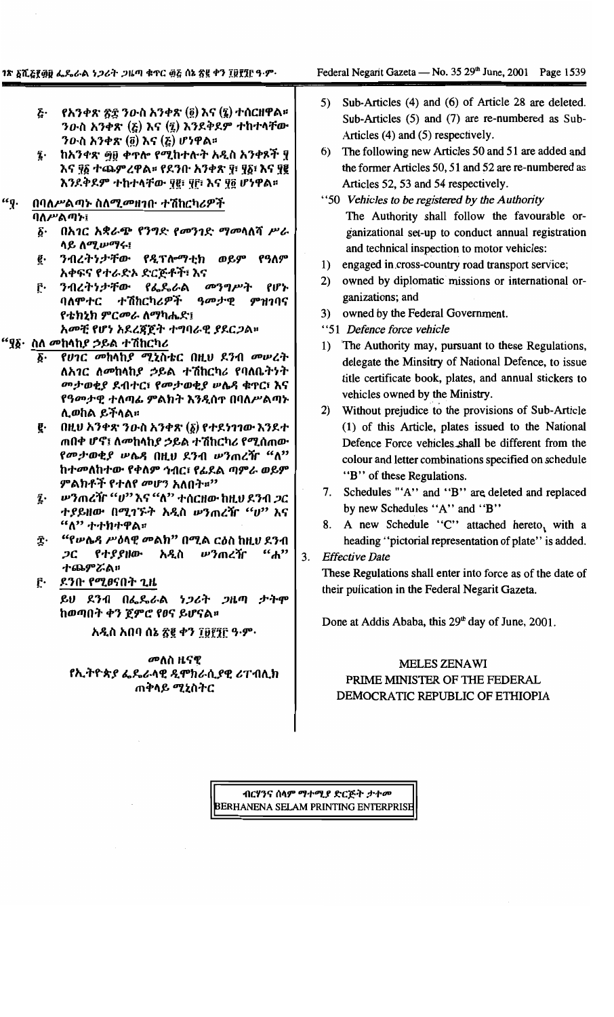- ξ· የአንቀጽ ፳፰ ንውስ አንቀጽ (፬) እና (፯) ተሰርዘዋል፡፡ ንውስ አንቀጽ  $(\xi)$  እና  $(\xi)$  እንደቅደም ተከተላቸው ንውስ አንቀጽ  $(\tilde{g})$  እና  $(\xi)$  ሆነዋል።
- $\overline{\mathbf{z}}$ . ከአንቀጽ ፵፱ ቀጥሎ የሚከተሉት አዲስ አንቀጾች ፶ እና ፶፩ ተጨምረዋል፡፡ የደንቡ አንቀጽ ፶፣ ፶፩፣ እና ፶፪ እንደቅደም ተከተላቸው የ@ ዋF፣ እና ዋ፬ ሆነዋል።
- $``\mathfrak{g}$ . በባለሥልጣኑ ስለሚመዘገቡ ተሽከርካሪዎች

ባለሥልጣኑ፤

- ፩· በአገር አቋራጭ የንግድ የመንገድ ማመሳለሻ ሥራ ሳይ ለሚሥማሩ፤
- ንብረትነታቸው የዲፕሎማቲክ ወይም የዓለም ę. አቀፍና የተራድኦ ድርጅቶች፣ እና
- ንብረትንታቸው የፌጼራል መንግሥት የሆኑ ŕ٠ ባለምተር ተሽከርካሪዎች ዓመታዊ ምዝገባና የቴክኒክ ምርመራ ለማካሔድ፤ አመቺ የሆነ አደረጃጀት ተግባራዊ ያደርጋል።

### "ያδ· ስለ መከላከያ ኃይል ተሽከርካሪ

- ፩· የሀገር መከላከያ ሚኒስቴር በዚህ ደንብ መሠረት ለአ*ገር ለመ*ከላከ*ያ ኃ*ይል ተሽከርካሪ የባለቤትንት መታወቂያ ደብተር፣ የመታወቂያ ሥሴዳ ቁዋር፣ እና የዓመታዊ ተለጣፊ ምልክት እንዲሰተ በባለሥልጣኑ ሊወከል ይችላል።
- $\left( \mathsf{R}\cup\mathsf{R}\right)$  ስታውስ አንቀጽ  $\left( \mathsf{g}\right)$  የተደነገገው እንደተ g. ጠበቀ ሆኖ፤ ለመከላከያ ኃይል ተሽከርካሪ የሚሰጠው የመታወቂያ ሥሴዳ በዚህ ደንብ ሥንጠረዥ "ለ" ከተመለከተው የቀለም ኅብር፣ የፊደል ጣምራ ወይም ምልክቶች የተለየ መሆን አለበት።"
- ፯· ሥንጠረዥ "ሀ" እና "ለ" ተሰርዘው ከዚህ ደንብ *ጋ*ር ተያይዘው በሚገኙት አዲስ ሥንጠረዥ "ሀ" እና  $``\Lambda"$  ተተክተዋል።
- "የሥሴዳ ሥዕላዊ መልክ" በሚል ርዕስ ከዚህ ደንብ Ϋ. የተያያዘው አዲስ ሥንጠረዥ  $2<sub>C</sub>$  $"d"$ ተጨምሯል።

### ደንቡ የሚፀናበት ጊዜ Ĉ٠ ይህ ደንብ በፌዴራል ነጋሪት ጋዜጣ ታትሞ ከወጣበት ቀን ጀምሮ የፀና ይሆናል።

አዲስ አበባ ሰኔ ፳፪ ቀን ፲፱፻፺፫ ዓ.ም.

### መለስ ዜናዊ የኢትዮጵያ ፌዴራላዊ ዲሞክራሲያዊ ሪፐብሊክ ጠቅላይ ሚኒስትር

- Sub-Articles (4) and (6) of Article 28 are deleted.  $5)$ Sub-Articles (5) and (7) are re-numbered as Sub-Articles (4) and (5) respectively.
- 6) The following new Articles 50 and 51 are added and the former Articles 50, 51 and 52 are re-numbered as Articles 52, 53 and 54 respectively.
- "50 Vehicles to be registered by the Authority" The Authority shall follow the favourable organizational set-up to conduct annual registration and technical inspection to motor vehicles:
- engaged in cross-country road transport service;  $1)$
- $2)$ owned by diplomatic missions or international organizations; and
- owned by the Federal Government.  $3)$
- "51 Defence force vehicle
- 1) The Authority may, pursuant to these Regulations, delegate the Minsitry of National Defence, to issue title certificate book, plates, and annual stickers to vehicles owned by the Ministry.
- 2) Without prejudice to the provisions of Sub-Article (1) of this Article, plates issued to the National Defence Force vehicles shall be different from the colour and letter combinations specified on schedule "B" of these Regulations.
- 7. Schedules "'A'' and "B'' are deleted and replaced by new Schedules "A" and "B"
- 8. A new Schedule "C" attached hereto, with a heading "pictorial representation of plate" is added.

### $3.$ **Effective Date**

These Regulations shall enter into force as of the date of their pulication in the Federal Negarit Gazeta.

Done at Addis Ababa, this 29th day of June, 2001.

### MELES ZENAWI PRIME MINISTER OF THE FEDERAL DEMOCRATIC REPUBLIC OF ETHIOPIA

ብርሃንና ሰላም ማተሚያ ድርጅት ታተመ BERHANENA SELAM PRINTING ENTERPRISE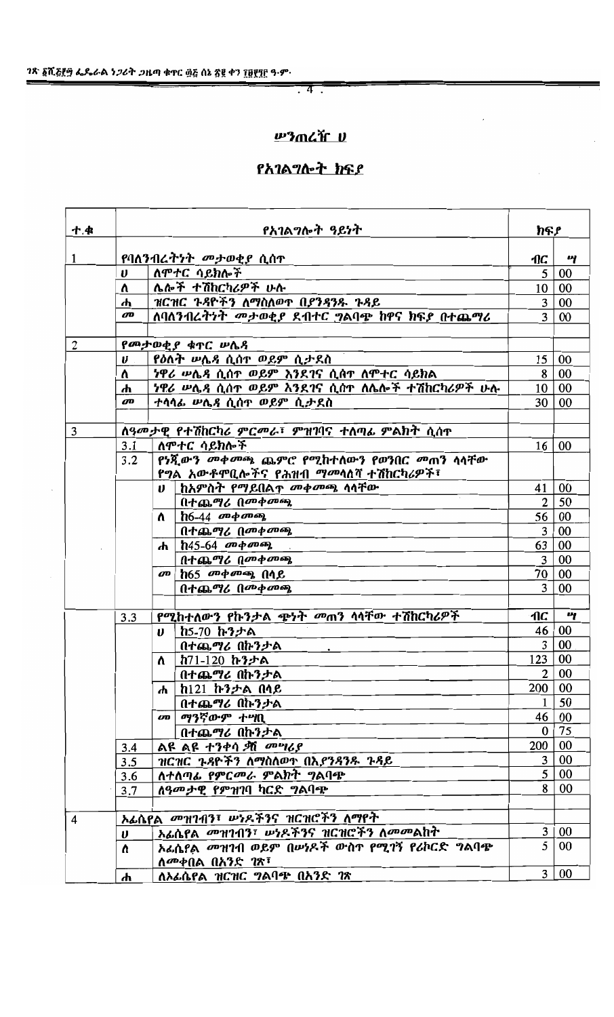# 

# የአገልግሎት ክፍያ

| ተ.ቁ            | የአገልግሎት ዓይነት                  |                                                                                    | ክፍያ                        |                  |
|----------------|-------------------------------|------------------------------------------------------------------------------------|----------------------------|------------------|
| $\mathbf{1}$   | የባለንብረ <i>ትነት መታወቂያ</i> ሲሰተ   |                                                                                    |                            | 4                |
|                | V                             | ለሞተር ሳይክሎች                                                                         | $\vert$ 1 $\vert$          | 5 00             |
|                | Λ.                            | ሌሎች ተሽከርካሪዎች ሁሉ                                                                    |                            | 10 00            |
|                | ሐ                             | ዝርዝር ጉዳዮችን ለማስለወጥ በያንዳንዱ ጉዳይ                                                       | 3                          | $\vert$ 00       |
|                | <b>OD</b>                     | ለባለንብረትንት መታወቂያ ደብተር ግልባጭ ከዋና ክፍያ በተጨማሪ                                            | $\overline{3}$             | 00               |
| $\overline{2}$ |                               | የመታወቂያ ቁጥር ሥሌዳ                                                                     |                            |                  |
|                | $\boldsymbol{\theta}$         | የዕለት ሥሌዳ ሲሰዋ ወይም ሲታደስ                                                              | 15                         | $\vert 00 \vert$ |
|                | 7                             | <i>ነዋሪ ሡሴጻ</i> ሲሰ <b>ተ ወይም እንደ</b> ገና ሲሰተ ለሞተር ሳይክል                                | 8                          | 00               |
|                | ሐ                             | <u>ነዋሪ ሥሌዳ ሲሰተ ወይም እንደገና ሲሰተ ለሌሎች ተሽከርካሪዎች ሁሉ</u>                                  |                            | 10 00            |
|                | <b>OD</b>                     | ተሳሳፊ ሥሌዳ ሲሰዋ ወይም ሲታደስ                                                              | 30                         | $\overline{00}$  |
|                |                               |                                                                                    |                            |                  |
| 3              |                               | ለዓመታዊ የተሽከርካሪ ምርመራ፣ ምዝገባና ተለጣፊ ምልክት ሲሰጥ                                            |                            |                  |
|                | 3.1                           | ለምተር ሳይክሎች                                                                         | 16                         | 00               |
|                | 3.2                           | የነጂውን መቀመጫ ጨምሮ የሚከተለውን የወንበር መጠን ሳሳቸው<br>የግል አውቶምቢሎችና የሕዝብ <i>ማመ</i> ሳለሻ ተሽከርካሪዎች፣ |                            |                  |
|                |                               | ከአምስት የማይበልጥ መቀመጫ ሳሳቸው<br>$\boldsymbol{\theta}$                                    | 41                         | 00               |
|                |                               | በተጨማሪ በመቀመጫ                                                                        | 2 <sup>1</sup>             | 50               |
|                |                               | $h6-44$ መቀመጫ<br>$\Lambda$                                                          |                            | 56 00            |
|                |                               | በተጨማሪ በመቀመጫ                                                                        | 3                          | 00               |
|                |                               | $h45-64$ መቀመጫ<br>ሐ                                                                 | 63                         | 00               |
|                |                               | በተጨማሪ በመቀመጫ                                                                        | 3 <sup>1</sup>             | 00               |
|                |                               | $h65$ መቀመጫ በሳይ<br>ØD                                                               |                            | 70 00            |
|                |                               | በተጨማሪ በመቀመጫ                                                                        | 3                          | 00               |
|                |                               |                                                                                    |                            |                  |
|                | 3.3                           | የሚከተለውን የኩንታል ጭነት መጠን ሳሳቸው ተሽከርካሪዎች                                                | AC                         | 4                |
|                |                               | ከ5-70 ኩንታል<br>U.                                                                   | 46                         | $\vert 00 \vert$ |
|                |                               | በተጨማሪ በኩንታል                                                                        | $\overline{3}$             | 00               |
|                |                               | ከ71-120 ኩንታል<br>Λ.                                                                 | 123 00                     |                  |
|                |                               | በተጨማሪ በኩንታል                                                                        | 2 <sup>1</sup><br>200   00 | 00               |
|                |                               | ከ121 ኩንታል በላይ<br>ሐ                                                                 |                            | 50               |
|                |                               | በተጨማሪ በኩንታል<br>መ ማንኛውም ተሣቢ                                                         |                            | 46 00            |
|                |                               | በተጨማሪ በኩንታል                                                                        | $\mathbf{0}$               | 75               |
|                |                               | ልዩ ልዩ ተንቀሳ ቃሽ መሣሪያ                                                                 | 200   00                   |                  |
|                | 3.4<br>3.5                    | ዝርዝር ጉዳዮችን ለማስለወጥ በእ <i>ያንዳንዱ ጉዳይ</i>                                              |                            | 3 00             |
|                | 3.6                           | ለተለጣፊ የምር <i>መራ</i> ምልክት <i>ግ</i> ልባጭ                                              |                            | 5 00             |
|                | 3.7                           | ለዓመታዊ የምዝገባ ካርድ ግልባጭ                                                               | 8                          | 00               |
|                |                               |                                                                                    |                            |                  |
| 4              |                               | ኦፊሴየል <i>መዝገብን</i> ፣ ሥነዶችንና ዝርዝሮችን ለማየት                                            |                            |                  |
|                | $\boldsymbol{\upsilon}$       | አፊሴየል መዝገብን፣ ሥነዶችንና ዝርዝሮችን ለመመልከት                                                  | 3                          | $00\,$           |
|                | Λ.                            | አፊሴየል መዝገብ ወይም በሥነዶች ውስተ የሚገኝ የሪኮርድ ግልባጭ<br>ለመቀበል በአንድ <i>ገ</i> ጽ፣                 | 5                          | $00\,$           |
|                | ለኦፊሴየል ዝርዝር ግልባጭ በአንድ ገጽ<br>ሐ |                                                                                    |                            | 3 00             |

 $\overline{a}$  ,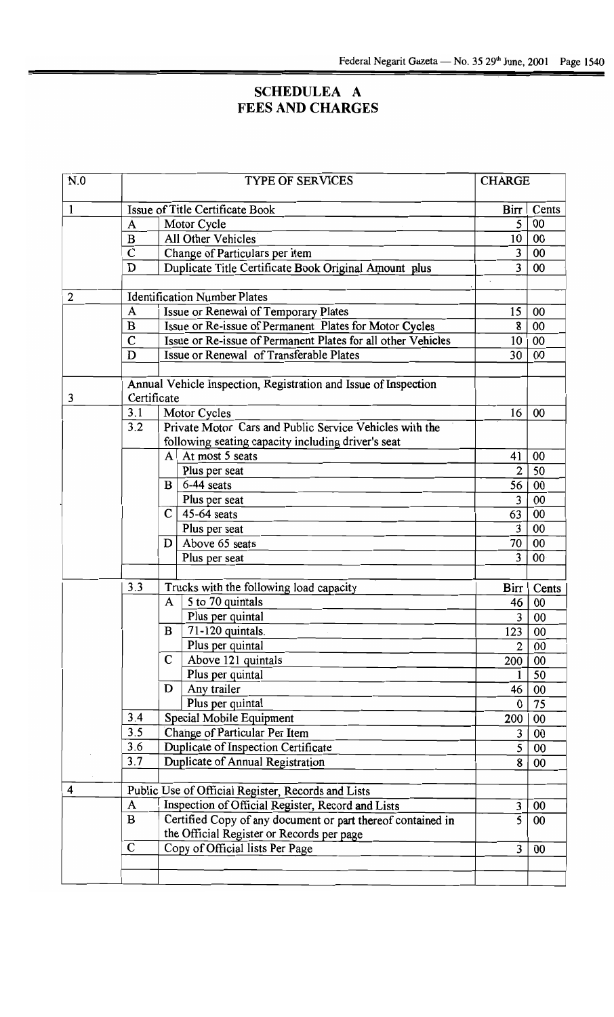# **SCHEDULEA A FEES AND CHARGES**

| N.0            | <b>TYPE OF SERVICES</b>         |                                                                 | <b>CHARGE</b>  |       |
|----------------|---------------------------------|-----------------------------------------------------------------|----------------|-------|
| 1              | Issue of Title Certificate Book |                                                                 | Birr           | Cents |
|                | A                               | Motor Cycle                                                     | 5              | 00    |
|                | $\bf{B}$                        | All Other Vehicles                                              | 10             | 00    |
|                | C                               | Change of Particulars per item                                  | $\overline{3}$ | 00    |
|                | D                               | Duplicate Title Certificate Book Original Amount plus           | 3              | 00    |
| $\overline{2}$ |                                 | <b>Identification Number Plates</b>                             |                |       |
|                | A                               | Issue or Renewal of Temporary Plates                            | 15             | 00    |
|                | B                               | Issue or Re-issue of Permanent Plates for Motor Cycles          | 8              | 00    |
|                | $\mathbf C$                     | Issue or Re-issue of Permanent Plates for all other Vehicles    | 10             | 00    |
|                | D                               | Issue or Renewal of Transferable Plates                         | 30             | 00    |
|                |                                 |                                                                 |                |       |
| 3              | Certificate                     | Annual Vehicle Inspection, Registration and Issue of Inspection |                |       |
|                | 3.1                             | Motor Cycles                                                    | 16             | 00    |
|                | 3.2                             | Private Motor Cars and Public Service Vehicles with the         |                |       |
|                |                                 | following seating capacity including driver's seat              |                |       |
|                |                                 | At most 5 seats<br>$\mathbf{A}$                                 | 41             | 00    |
|                |                                 | Plus per seat                                                   | $\overline{2}$ | 50    |
|                |                                 | 6-44 seats<br>$\bf{B}$                                          | 56             | 00    |
|                |                                 | Plus per seat                                                   | 3              | 00    |
|                |                                 | 45-64 seats<br>$\mathbf{C}$                                     | 63             | 00    |
|                |                                 | Plus per seat                                                   | 3              | 00    |
|                |                                 | Above 65 seats<br>D                                             | 70             | 00    |
|                |                                 | Plus per seat                                                   | 3              | 00    |
|                | 3.3                             | Trucks with the following load capacity                         | Birr           | Cents |
|                |                                 | 5 to 70 quintals<br>A                                           | 46             | 00    |
|                |                                 | Plus per quintal                                                | 3              | 00    |
|                |                                 | B<br>71-120 quintals.                                           | 123            | 00    |
|                |                                 | Plus per quintal                                                | 2              | 00    |
|                |                                 | Above 121 quintals<br>$\mathbf C$                               | 200            | 00    |
|                |                                 | Plus per quintal                                                |                | 50    |
|                |                                 | Any trailer<br>D                                                | 46             | 00    |
|                |                                 | Plus per quintal                                                | $\bf{0}$       | 75    |
|                | 3.4                             | Special Mobile Equipment                                        | 200            | 00    |
|                | 3.5                             | Change of Particular Per Item                                   | 3              | 00    |
|                | 3.6                             | Duplicate of Inspection Certificate                             | 5              | 00    |
|                | 3.7                             | Duplicate of Annual Registration                                | 8              | 00    |
| 4              |                                 | Public Use of Official Register, Records and Lists              |                |       |
|                | A                               | Inspection of Official Register, Record and Lists               | 3              | 00    |
|                | $\bf{B}$                        | Certified Copy of any document or part thereof contained in     | 5              | 00    |
|                |                                 | the Official Register or Records per page                       |                |       |
|                | C                               | Copy of Official lists Per Page                                 | $\overline{3}$ | 00    |
|                |                                 |                                                                 |                |       |
|                |                                 |                                                                 |                |       |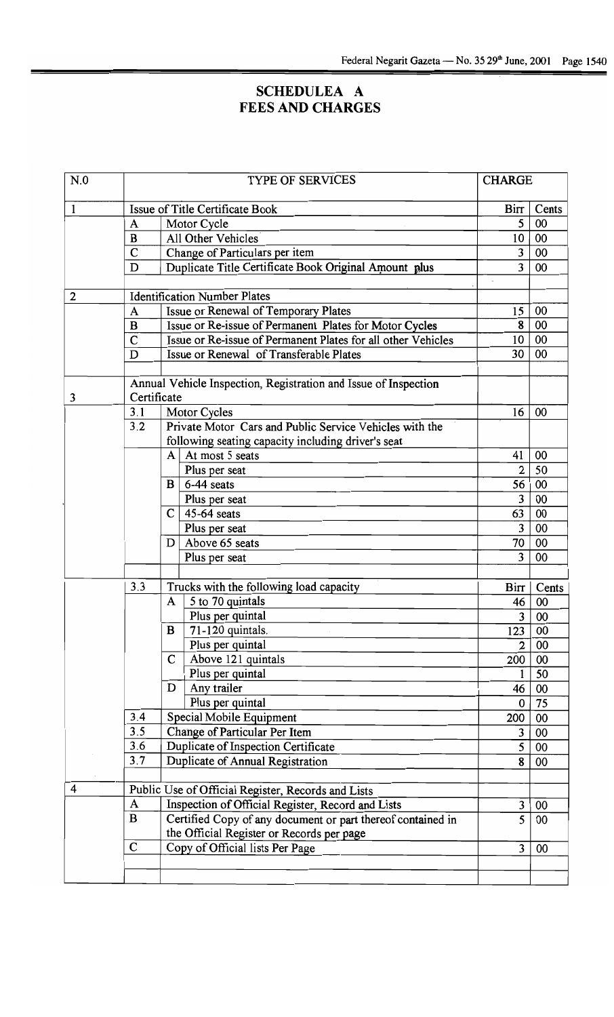### SCHEDULEA A FEES AND CHARGE

| N.0          | <b>TYPE OF SERVICES</b>         |                                                                                       |                | <b>CHARGE</b> |  |
|--------------|---------------------------------|---------------------------------------------------------------------------------------|----------------|---------------|--|
| $\mathbf{1}$ | Issue of Title Certificate Book |                                                                                       | Birr           | Cents         |  |
|              | A                               | Motor Cycle                                                                           | 5              | 00            |  |
|              | $\bf{B}$                        | All Other Vehicles                                                                    | 10             | 00            |  |
|              | $\mathbf C$                     | Change of Particulars per item                                                        | 3              | 00            |  |
|              | D                               | Duplicate Title Certificate Book Original Amount plus                                 | 3              | 00            |  |
|              |                                 |                                                                                       |                |               |  |
| $\mathbf{2}$ |                                 | <b>Identification Number Plates</b>                                                   |                |               |  |
|              | A                               | Issue or Renewal of Temporary Plates                                                  | 15             | 00            |  |
|              | $\bf{B}$                        | Issue or Re-issue of Permanent Plates for Motor Cycles                                | 8              | 00            |  |
|              | $\mathbf C$                     | Issue or Re-issue of Permanent Plates for all other Vehicles                          | 10             | 00            |  |
|              | D                               | Issue or Renewal of Transferable Plates                                               | 30             | 00            |  |
|              |                                 |                                                                                       |                |               |  |
|              | Certificate                     | Annual Vehicle Inspection, Registration and Issue of Inspection                       |                |               |  |
| 3            |                                 |                                                                                       | 16             | 00            |  |
|              | 3.1                             | Motor Cycles<br>Private Motor Cars and Public Service Vehicles with the               |                |               |  |
|              | 3.2                             |                                                                                       |                |               |  |
|              |                                 | following seating capacity including driver's seat<br>At most 5 seats<br>$\mathbf{A}$ | 41             | 00            |  |
|              |                                 |                                                                                       | 2              | 50            |  |
|              |                                 | Plus per seat<br>6-44 seats<br>$\mathbf{B}$                                           | 56             | 00            |  |
|              |                                 |                                                                                       | 3              | 00            |  |
|              |                                 | Plus per seat<br>45-64 seats<br>$\mathbf{C}$                                          | 63             | 00            |  |
|              |                                 |                                                                                       | 3              | 00            |  |
|              |                                 | Plus per seat<br>Above 65 seats                                                       | 70             | 00            |  |
|              |                                 | D                                                                                     | 3              | 00            |  |
|              |                                 | Plus per seat                                                                         |                |               |  |
|              | 3.3                             | Trucks with the following load capacity                                               | Birr           | Cents         |  |
|              |                                 | 5 to 70 quintals<br>$\mathbf{A}$                                                      | 46             | 00            |  |
|              |                                 | Plus per quintal                                                                      | 3              | 00            |  |
|              |                                 | 71-120 quintals.<br>B                                                                 | 123            | 00            |  |
|              |                                 | Plus per quintal                                                                      | $\overline{2}$ | 00            |  |
|              |                                 | $\mathbf C$<br>Above 121 quintals                                                     | 200            | 00            |  |
|              |                                 | Plus per quintal                                                                      |                | 50            |  |
|              |                                 | Any trailer<br>D                                                                      | 46             | 00            |  |
|              |                                 | Plus per quintal                                                                      | $\mathbf 0$    | 75            |  |
|              | 3.4                             | Special Mobile Equipment                                                              | 200            | 00            |  |
|              | 3.5                             | Change of Particular Per Item                                                         | 3              | 00            |  |
|              | 3.6                             | Duplicate of Inspection Certificate                                                   | 5              | 00            |  |
|              | 3.7                             | Duplicate of Annual Registration                                                      | 8              | 00            |  |
|              |                                 |                                                                                       |                |               |  |
| 4            |                                 | Public Use of Official Register, Records and Lists                                    |                |               |  |
|              | A                               | Inspection of Official Register, Record and Lists                                     | 3              | 00            |  |
|              | $\bf{B}$                        | Certified Copy of any document or part thereof contained in                           | 5              | 00            |  |
|              |                                 | the Official Register or Records per page                                             |                |               |  |
|              | $\mathsf{C}$                    | Copy of Official lists Per Page                                                       | 3              | 00            |  |
|              |                                 |                                                                                       |                |               |  |
|              |                                 |                                                                                       |                |               |  |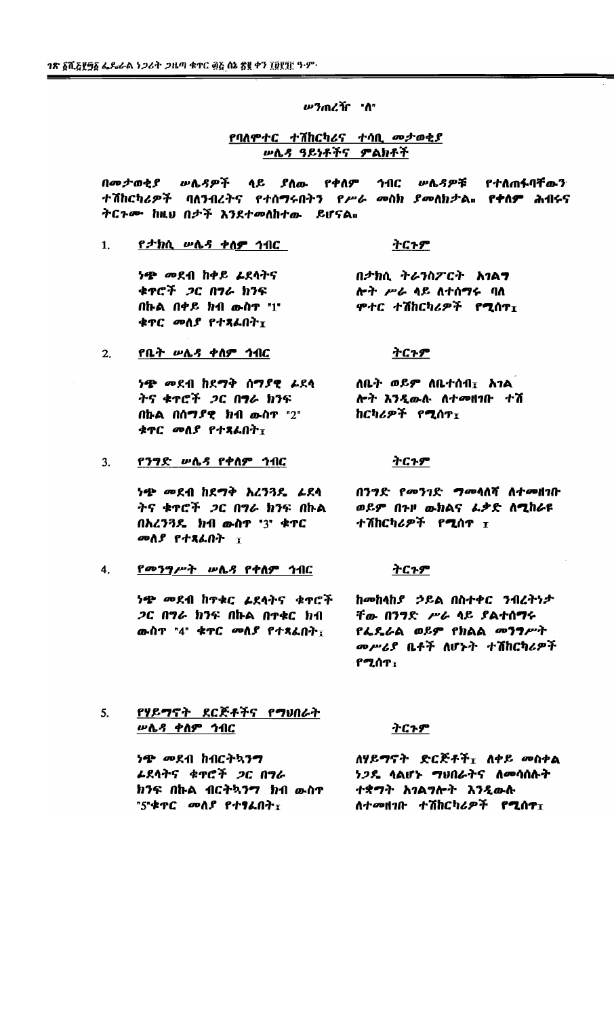*ሥን*ጠረዥ "ሰ"

### የባለሞተር ተሽከርካሪና ተሳቢ መታወቂያ **ሥሌዳ ዓይነቶችና ምልክቶች**

በመታወቂያ ሥሌዳዎች ላይ ያለው የቀለም ኅብር ሥሌዳዎቹ የተለጠፋባቸውን ተሽከርካሪዎች ባለንብረትና የተሰማሩበትን የሥራ መስክ ያመለክታል። የቀለም ሕብሩና ትርጉሙ ከዚህ በታች እንደተመለከተው ይሆናል።

 $1.$ የ*ታክ*ሲ ሥሌ*ጻ* ቀለ**ም** ኅብር

> ነጭ መደብ ከቀይ *L*ደላትና ቁዋሮች ጋር በግራ ክንፍ በኩል በቀይ ክብ *ውስ*ዋ "1" ቁጥር መለያ የተጻፌበት $I$

የቤት ሥሌዳ ቀለም ኅብር

 $2.$ 

### ትርጉም

በታክሲ ትራንስፖርት አገልፃ ሎት ሥራ ላይ ለተሰማሩ ባለ ሞተር ተሽከርካሪዎች **የሚ**ሰዋ<sub>ፓ</sub>

### ትርጉም

ለቤት ወይም ለቤተሰብ $_{\texttt{I}}$  አገል ነ<del>ጭ</del> መደብ ከደማቅ ሰማ*ያ*ዊ *ሬ*ደላ ትና ቁተሮች *ጋ*ር በ**ግ**ራ ክንፍ ሎት እንዲውሉ ለተመዘገቡ ተሽ በኩል በሰማያዊ ክብ ውስዋ "2" ከርካሪዎች የሚሰዋ $_{\rm T}$ ቁዋር መለያ የተጻልበት $_{\rm I}$ 

የንግድ ሥሌዳ የቀለም ኅብር  $3.$ 

> *ነጭ መደብ ከደግቅ እረንጓዴ ፊ*ደላ ትና ቁተሮች *ጋ*ር በግራ ክንፍ በኩል በአረን3ዴ ክብ ውስዋ "3" ቁዋር መለያ የተጻራበት ፣

### <u>የመንግሥት ሠሌዳ የቀስም ኅብር</u>  $4.$

ነ<del>ጭ</del> መደብ ከተቁር *ሬ*ደላትና ቁተሮች *ጋ*ር በግራ ክንፍ በኩል በተቀር ክብ ውስ**ኖ "4" ቁ**ዋር መለያ የተጻፌበት<sub>፣</sub>

በንግድ የመንገድ **ግ**መሳለሻ ለተ**መ**ዘገቡ ወይም በጉዞ ውክልና ራቃድ ለሚከራዩ ተሽከርካሪዎች የ**ሚ**ሰዋ I

### ትርጉም

ትርጉም

ከመከላከያ ኃይል በስተቀር ንብረትነታ ቸው በንግድ ሥራ ላይ ያልተሰማሩ የፌዴራል ወይም የክልል መንግሥት መሥሪያ ቤቶች ለሆኑት ተሽከርካሪዎች የሚሰ<sub>ን፣</sub>

የሃይማኖት ደርጅቶችና የማህበራት  $5<sub>1</sub>$ <u> ሥሴዳ ቀስም ኅብር</u>

### <u>ትርጉም</u>

ለሃይማኖት ድርጅቶች<sub>፤</sub> ለቀይ መስቀል ነጭ መደብ ከብርትኳንግ ነጋዴ ላልሆኑ ግህበራትና ለመሳሰሉት ራደላትና ቁ**ተ**ሮች *ጋ*ር በግራ ክንፍ በኩል ብርትኳንግ ክብ ውስጥ ተቋማት አገልግሎት እንዲውሱ "5"ቁጥር መለያ የተፃፌበት፣ ለተመዘገቡ ተሽከርካሪዎች የሚሰዋ $_{\rm I}$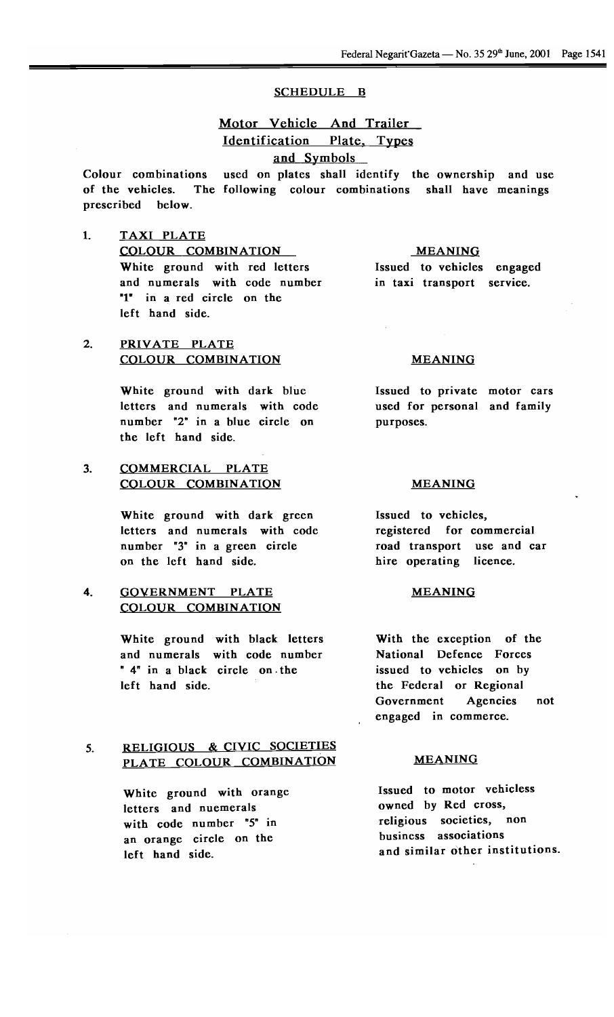### SCHEDULE B

## Motor Vehicle And Trailer Identification Plate, Types and Symbols

Colour combinations used on plates shall identify the ownership and use of the vehicles. The following colour combinations shall have meaning prescribed below.

1. TAXI PLATE COLOUR COMBINATION White ground with red letters and numerals with code number "1" in a red circle on the left hand side.

### MEANING

Issued to vehicles engaged in taxi transport service.

### 2. PRIVATE PLATE COLOUR COMBINATION MEANING

White ground with dark blue letters and numerals with code number "2" in a blue circle on the left hand side.

### 3. COMMERCIAL PLATE COLOUR COMBINATION MEANING

White ground with dark green letters and numerals with code number "3" in a green circle on the left hand side.

### 4. GOVERNMENT PLATE COLOUR COMBINATION

White ground with black letters and numerals with code number " 4" in a black circle on. the left hand side.

## 5. RELIGIOUS & CIVIC SOCIETIES PLATE COLOUR COMBINATION MEANING

White ground with orange letters and nuemerals with code number "5" in an orange circle on the left hand side.

Issued to private motor cars used for personal and family purposes.

Issued to vehicles, registered for commercial road transport use and car hire operating licence.

### MEANING

With the exception of the National Defence Forces issued to vehicles on by the Federal or Regional Government Agencies engaged in commerce. not

Issued to motor vehicless owned by Red cross, religious societies, non business associations and similar other institutions.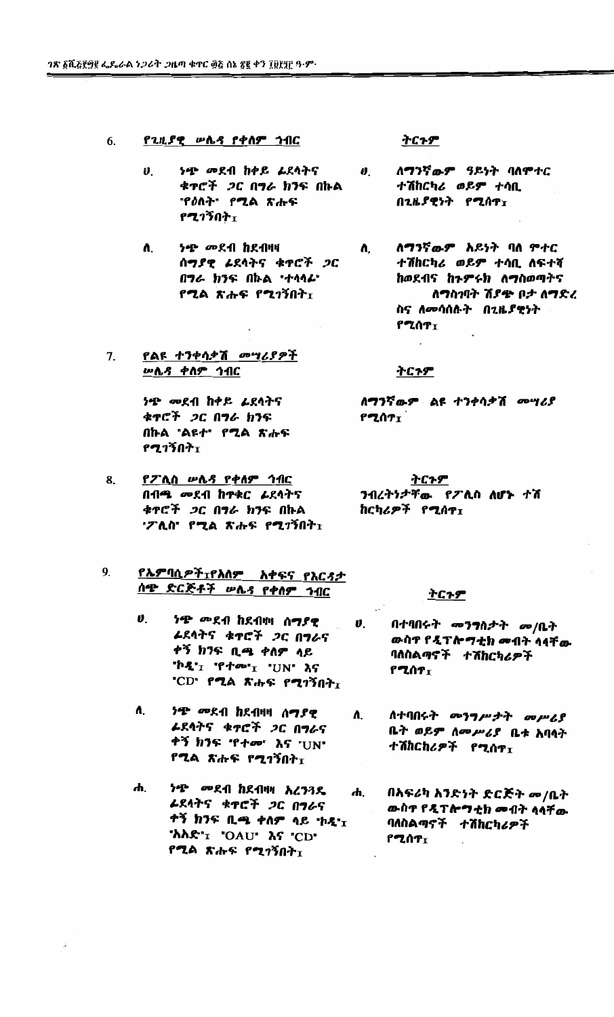- የጊዚያዊ ሥሌ*ዳ* የቀስም ኅብር  $6<sup>1</sup>$ 
	- $\boldsymbol{\theta}$ . *ቁጥሮች ጋር በግራ ክን*ፍ በኩል "የዕለት" የሚል ጽሑፍ የሚገኝበት $\overline{1}$
	- *ነጭ መ*ደብ ከደብዛዛ  $\mathbf{a}$ ሰማያዊ ፊደላትና ቁዋሮች ጋር በግራ ክንፍ በኩል "ተሳሳራ" የ**ሚል ጽ**ሑፍ የሚገኝበት<sub>፤</sub>
- የልዩ ተንቀሳቃሽ *መግሪያዎች*  $7<sub>1</sub>$ <u> ሥሌ*ጻ* ቀ</u>ስም ኅ<u>ብር</u>

*ነጭ መ*ደብ ከቀይ *ኔ*ደሳትና ቁዋሮች *ጋ*ር በ<mark>ግራ ክን</mark>ፍ በኩል "ልዩተ" የሚል ጽሑፍ የሚገኝበት፣

- 8. የፖሊስ ሥሌዳ የቀለም ኅብር በብጫ መደብ ከዋቀር ፊደላትና ቁዋሮች *ጋ*ር በግራ ክንፍ በኩል 'ፖሊስ' የሚል ጽሑፍ የሚገኝበት፣
- <u>የኤምባሲዎች $_{\texttt{I}}$ የአለም አቀፍና የእርዳታ</u> 9. ሰ<del>ዌ</del> ድርጅቶች ሥሌ*ጻ* የቀለም ኅብር
	- $\boldsymbol{\theta}$ . *ነጭ መ*ደብ ከደብዛዛ ሰ**ማ**ያዊ ራደላትና ቁዋሮች *ጋ*ር በ**ግ**ራና ቀኝ ክንፍ ቢጫ ቀለም ላይ **"ኮዲ"** $_1$  **'የ***ተመ***"** $_1$  **"UN" እና** "CD" **PLA The PLITAT**
	- $\mathbf{a}$ *ነጭ መ*ደብ ከደብዛዛ ሰ**ማ**ያዊ ራደላትና ቁ**ተ**ሮች *ጋ*ር በግራና ቀኝ ክንፍ 'የተመ' እና "UN" የ**ሚል ጽ**ሑፍ የሚገኝበት<sub>፣</sub>
	- *ነጭ መ*ደብ ከደብዛዛ *እረንጓ*ዱ ሐ. በአፍሪካ አንድነት ድር*ጅት መ*/ቤት  $\boldsymbol{\boldsymbol{\boldsymbol{\boldsymbol{h}}}}$ ራደላትና ቁዋሮች *ጋ*ር በግራና ቀኝ ክንፍ ቢጫ ቀለም ላይ 'ኮዲ' $_{\rm I}$ 'አአድ"1 'OAU' እና "CD" የ**ጊ**ል ጽሑፍ የ**ሚ**ገኝበት<sub>፤</sub>

ትርጉም

- ተሽከርካሪ ወይም ተሳቢ በጊዜያዊነት የሚሰዋτ
	- ለማንኛውም አይነት ባለ ምተር  $\mathbf{a}$ ተሽከርካሪ ወይም ተሳቢ ለፍተሻ ከወደብና ከጉምሩክ ለማስወጣትና ለማስገባት ሽያጭ ቦታ ለማድረ ስና ለመሳሰሉት በጊዜያዊነት የሚሰዋ<sub>፤</sub>

### ትርጉም

ለማንኛውም ልዩ ተንቀሳቃሽ *መግሪ*ያ የሚሰ $\bm{r_{\texttt{I}}}$ 

ትርጉም ንብረትንታቸው የፖሊስ ለሆኑ ተሽ ከርካሪዎች የሚሰዋ፣

### <u>ትርጉም</u>

- **ህ. በተባበሩት መንግስታት መ/ቤት** ውስዋ የዲፕሎማቲክ መብት ሳሳቸው ባለስልጣኖች ተሽከርካሪዎች **β***ZΛT*τ
	- ለ. ለተባበሩት መንግ*ሥታት መሥሪ*ያ ቤት ወይም ለመሥሪያ ቤቱ አባላት ተሽከርከሪዎች የሚሰዋ<sub>ፓ</sub>
		- ውስዋ የዲፕሎ**ግ**ቲክ መብት ሳሳቸው ባለስልማኖች ተሽከርካሪዎች የሚሰዎ<sub>፤</sub>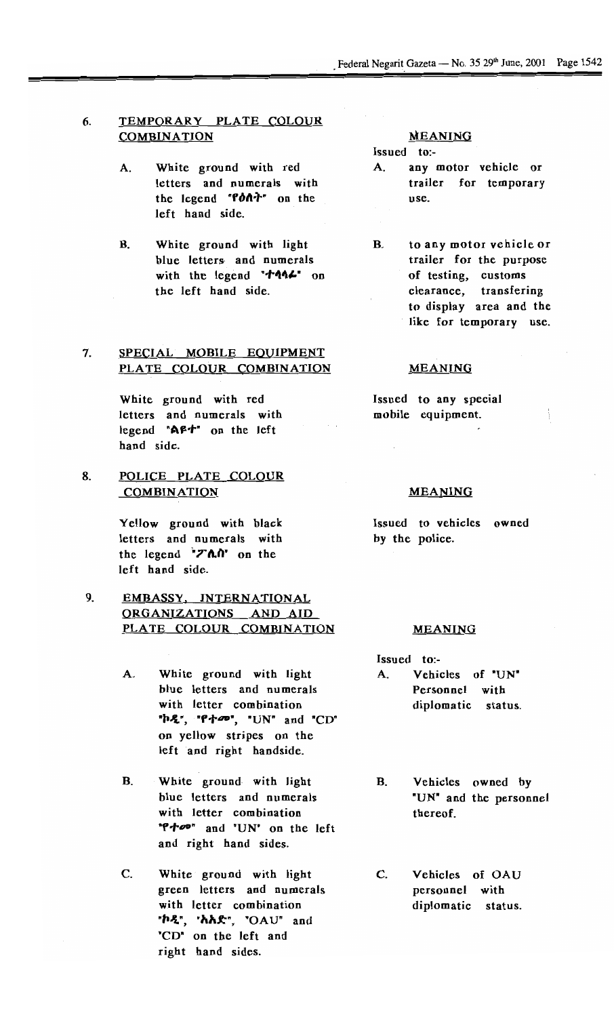### 6. TEMPORARY PLATE COLOUR **COMBINATION**

- A. White ground with red letters and numerals with the legend "Pon<sup>7</sup>" on the left hand side.
- B. White ground with light blue letters. and numerals with the legend " $\uparrow$   $\uparrow$   $\uparrow$   $\uparrow$   $\uparrow$   $\uparrow$   $\uparrow$ the left hand side.

### 7. SPECIAL MOBILE EQUIPMENT PLATE COLOUR COMBINATION

White ground with red letters and numerals with legend " $\triangle$ f+" on the left hand side.

8. POLICE PLATE COLOUR **COMBINATION** 

> Yellow ground with black letters and numerals with the legend **"Thu"** on the left hand side.

# 9. EMBASSY. INTERNATIONAL <u>ong (Mg (mg) Tions And</u> ORGANIZATIONS AND AID<br>PLATE COLOUR COMBINATION

- A. White ground with light blue letters and numerals with letter combination "h2", "P+o", "UN" and "CD" on yellow stripes on the left and right handside.
- B. White ground with light blue letters and numerals with letter combination "" "" and "UN" on the left and right hand sides.
- C. White ground with light green letters and numerals with letter combination "h2", "hh£", "OAU" and "CD" on the left and right hand sides.

### MEANING

Issued to:-

- A. any motor vehicle or trailer for temporary use.
- B. to any motor vehicle or trailer for the purpose of testing, customs clearance, transfering to display area and the like for temporary use.

### MEANING

Issued to any special mobile equipment.

### MEANING

Issued to vehicles owne by the police.

### MEANING

- Issued to:- A. Vehicles of "UN Personnel with diplomatic stat
- B. Vehicles owned by "UN" and the personnel thereof.
- C. Vehicles of OAU personnel with diplomatic status.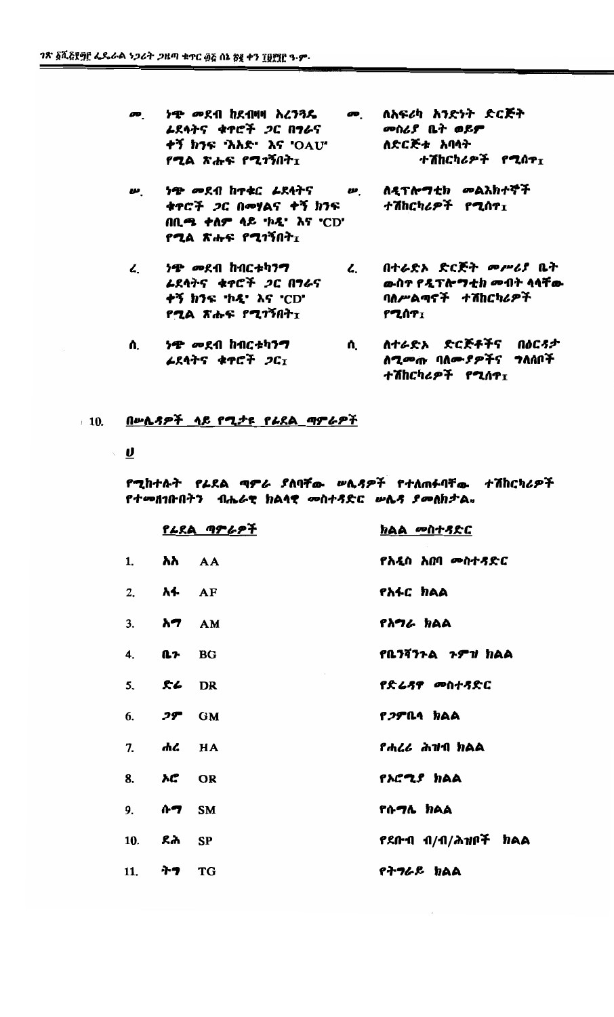- የሚል ጽሑፍ የሚገኝበት $_{\rm I}$
- *ሡ. ለዲፕሎግቲክ ሙ*ልአክተኞች ነ<del>ዋ</del> መደብ ከተቁር *レ*ደሳትና **w**. ቁዋሮች ጋር በመሃልና ቀኝ ክንፍ ተሽከርካሪዎች የ**ሚ**ሰዋ<sub>፤</sub> በቢ**ሜ ተስም ላይ 'ኮዲ' እና 'CD'**  $f$ ሚል ጽሑፍ የሚገኝበት $I$
- ረ. በተራድኦ ድርጅት *መሥሪ*ያ ቤት <del>ነጭ</del> መደብ ከብርቱካን**ግ**  $\mathcal{L}_{\cdot}$ ራደሳትና ቁዋሮች *ጋ*ር በ**ግ**ራና ውስኖ የዲፕሎ**ግ**ቲክ መብት ሳሳቸው ቀኝ ክንፍ 'ኮዲ' እና 'CD' ባለሥልማኖች ተሽከርካሪዎች **የሚሰ**ዎτ የ**ጊል ጽ**ሑፍ የሚገኝበት<sub>፤</sub>

ተሽከርካሪዎች የሚሰዋ፤

Λ. ተሽከርካሪዎች የሚሰዋ $_{\rm I}$ 

# 10. <u>በሥሌዳዎች ላይ የሚታዩ የራደል ማምራዎች</u>

 $\sqrt{2}$ 

### የሚከተሉት የራደል ማ*ኖራ ያ*ለባቸው ሥሌ*ጻዎች* የተለጠፉባቸው ተሽከርካሪዎች የተመዘገቡበትን ብሔራዊ ክልላዊ መስተጻድር ሠሌና ያመለክታል።

|                                    | <u>የራደል ጣምራዎች</u> | <u>ክልል መስተጻድር</u>         |
|------------------------------------|-------------------|---------------------------|
| 1. አአ AA                           |                   | የአዲስ አበባ መስተጻድር           |
| 2. $\lambda$ <sup>4</sup> AF       |                   | የአፋር ክልል                  |
| 3. <b><math>\lambda</math>7</b> AM |                   | <i>የአግራ ክ</i> ልል          |
| 4. <b><i>A<sub>2</sub></i></b> BG  |                   | የቤንሻንጉል <i>ጉምዝ</i> ክልል    |
| 5. <b><i>k</i></b> DR              |                   | የድሬጻዋ መስተጻድር              |
| 6. $29^{\circ}$ GM                 |                   | <i>የጋም</i> ቤሳ ክልል         |
| 7. ሐሪ HA                           |                   | <i>የሐረሪ ሕዝ</i> ብ ክልል      |
| 8. <b>M.</b> OR                    |                   | የአሮሚያ ክልል                 |
| 9. ሱ <b>ግ</b> SM                   |                   | የሱ <b>ግሌ ክ</b> ልል         |
| 10. ደሕ SP                          |                   | <i>የደ</i> ቡብ ብ/ብ/ሕዝቦች ክልል |
| 11. <b>ትግ</b> ፐG                   |                   | የትግራይ ክልል                 |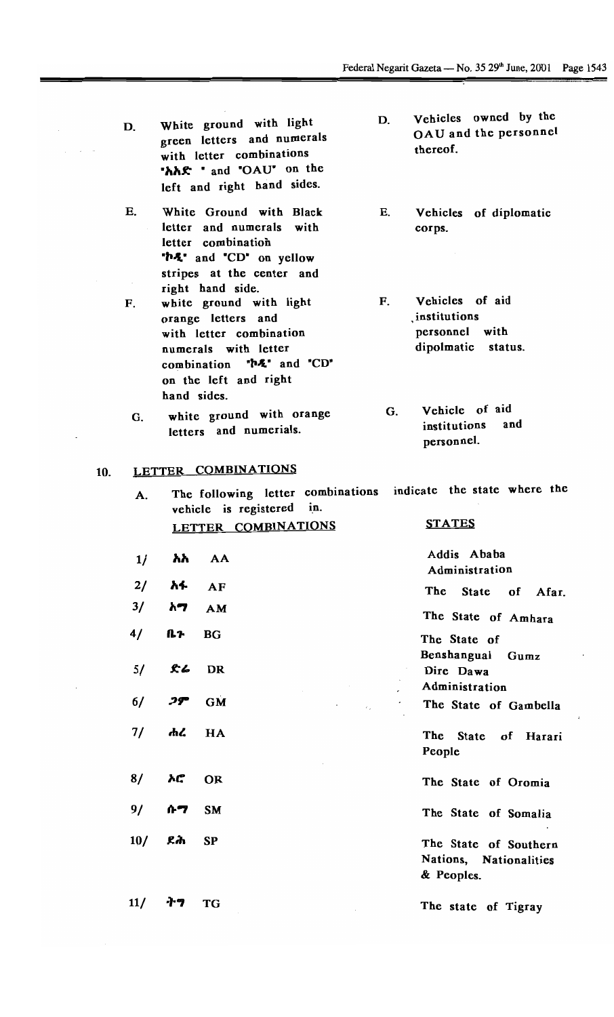- D. White ground with light green letters and numerals with letter combinations *"1\1\F:* " and "OAU" on the left and right hand sides.
- E. White Ground with Black letter and numerals with letter combination "h2" and "CD" on yellow stripes at the center and right hand side.
- F. white ground with light orange letters and with letter combination numerals with letter combination  $P^*A$  and  $C D^*$ on the left and right hand sides.
	- G. white ground with orange letters and numerials.

vehicle is registered in.

### 10. LETTER COMBINATIONS

A.

D. Vehicles owned by the OAU and the personnel thereof.

E. Vehicles of diplomatic corps.

F. Vehicles of aid , institutions personnel with dipolmatic status.

G. Vehicle of aid institutions and personnel.

### **STATES**

|     |    | LETTER COMBINATIONS | <u>STATES</u>                                                 |
|-----|----|---------------------|---------------------------------------------------------------|
| 1/  | አአ | AA                  | Addis Ababa<br>Administration                                 |
| 2/  | አፋ | AF                  | The State of<br>Afar                                          |
| 3/  | አማ | AM                  | The State of Amhara                                           |
| 4/  | ቤን | <b>BG</b>           | The State of                                                  |
| 5/  | ድሬ | <b>DR</b>           | Benshangual<br>Gumz<br>Dire Dawa<br>Administration            |
| 6/  | ጋም | <b>GM</b>           | The State of Gambella                                         |
| 7/  | ሐረ | HA                  | <b>The</b><br><b>State</b><br>of Harari<br>People             |
| 8/  | አሮ | <b>OR</b>           | The State of Oromia                                           |
| 9/  | ሱማ | <b>SM</b>           | The State of Somalia                                          |
| 10/ | ደሕ | <b>SP</b>           | The State of Southern<br>Nations, Nationalities<br>& Peoples. |
| 11/ | ナツ | <b>TG</b>           | The state of Tieray                                           |

The following letter combinations indicate the state where the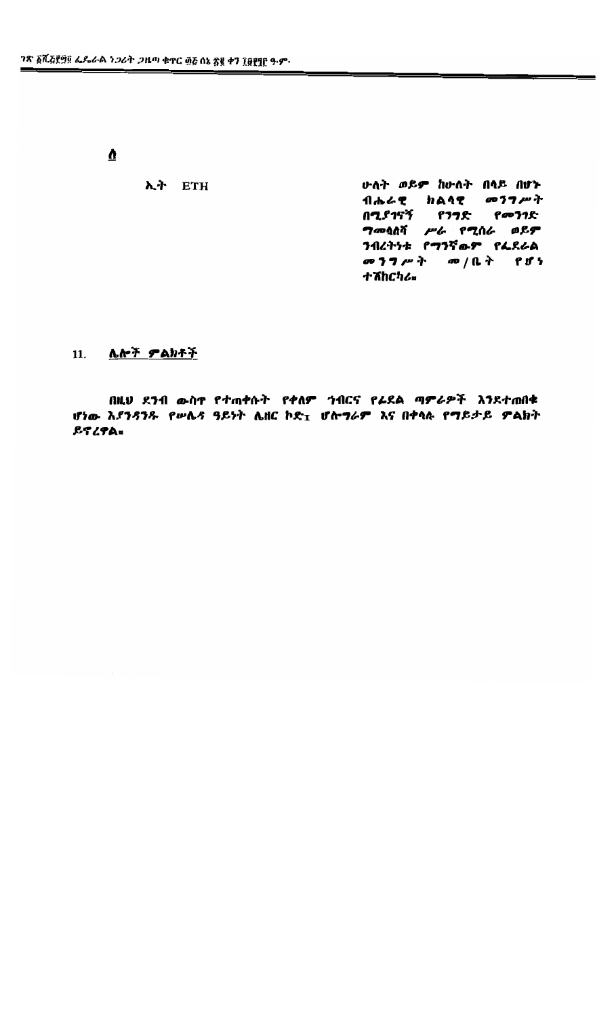$\overline{\mathbf{v}}$ 

 $\lambda$ ት ETH

**ሁለት ወይም ከሁለት በላይ በሆኑ** ብሔራዊ ክልላዊ መንግሥት በሚያገናኝ የንግድ የመንገድ<br>ግመሷለሻ ሥራ የሚሰራ ወይም<br>ንብረትነቱ የግንኛውም የፌደራል መንግሥት መ/ቤት የሆነ ተሽከርካሪ¤

## 11. <u>ሌሎች ምልክቶች</u>

በዚህ ደንብ ውስዋ የተጠቀሱት የቀለም ኀብርና የራደል ማምራዎች አንደተጠበቁ ሆነው እያንዳንዱ የሥሌዳ ዓይነት ሌዘር ኮድ<sub>፤</sub> ሆሎ*ግራም* እና በቀላሉ የማይ*ታይ ም*ልክት ይኖረዋል<sub>።</sub>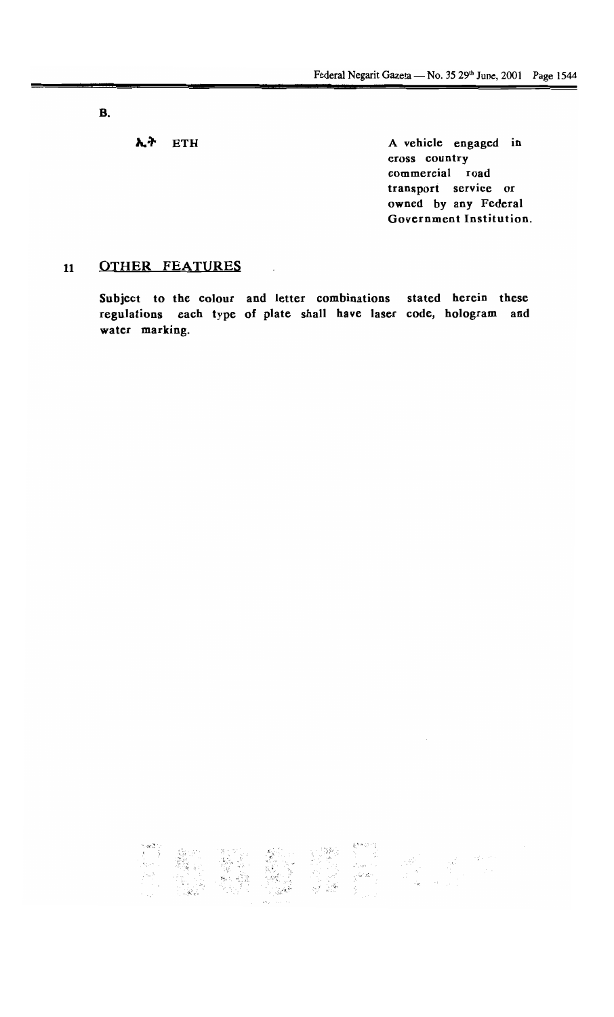B.

**1.** ETH A vehicle engaged in cross country commercial road transport service or owned by any Federal Government Institution.

### 11 OTHER FEATURES

Subject to the colour and letter combinations stated herein these regulations each type of plate shall have laser code, hologram and water marking.

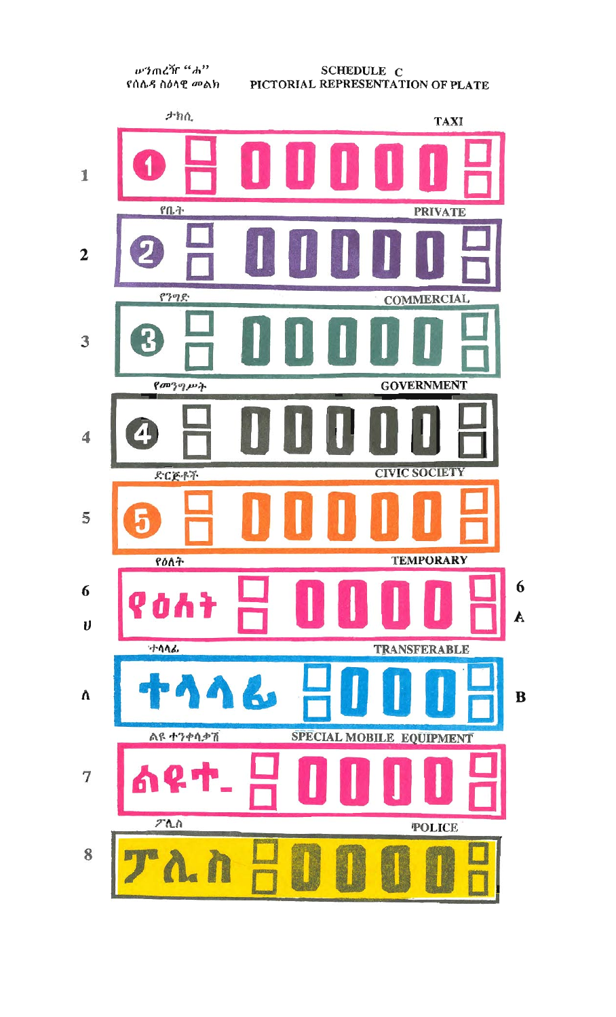